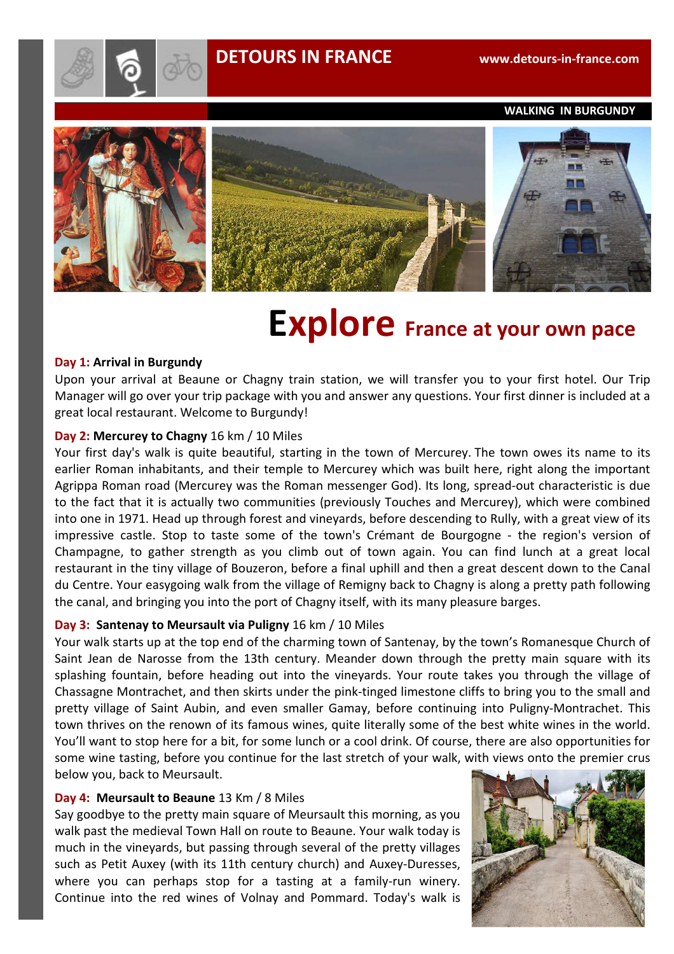# **DETOURS IN FRANCE www.detours-in-france.com**



 **WALKING IN BURGUNDY** 



# **Explore** France at your own pace

#### **Day 1: Arrival in Burgundy**

Upon your arrival at Beaune or Chagny train station, we will transfer you to your first hotel. Our Trip Manager will go over your trip package with you and answer any questions. Your first dinner is included at a great local restaurant. Welcome to Burgundy!

## **Day 2: Mercurey to Chagny** 16 km / 10 Miles

Your first day's walk is quite beautiful, starting in the town of Mercurey. The town owes its name to its earlier Roman inhabitants, and their temple to Mercurey which was built here, right along the important Agrippa Roman road (Mercurey was the Roman messenger God). Its long, spread-out characteristic is due to the fact that it is actually two communities (previously Touches and Mercurey), which were combined into one in 1971. Head up through forest and vineyards, before descending to Rully, with a great view of its impressive castle. Stop to taste some of the town's Crémant de Bourgogne - the region's version of Champagne, to gather strength as you climb out of town again. You can find lunch at a great local restaurant in the tiny village of Bouzeron, before a final uphill and then a great descent down to the Canal du Centre. Your easygoing walk from the village of Remigny back to Chagny is along a pretty path following the canal, and bringing you into the port of Chagny itself, with its many pleasure barges.

## **Day 3: Santenay to Meursault via Puligny** 16 km / 10 Miles

Your walk starts up at the top end of the charming town of Santenay, by the town's Romanesque Church of Saint Jean de Narosse from the 13th century. Meander down through the pretty main square with its splashing fountain, before heading out into the vineyards. Your route takes you through the village of Chassagne Montrachet, and then skirts under the pink-tinged limestone cliffs to bring you to the small and pretty village of Saint Aubin, and even smaller Gamay, before continuing into Puligny-Montrachet. This town thrives on the renown of its famous wines, quite literally some of the best white wines in the world. You'll want to stop here for a bit, for some lunch or a cool drink. Of course, there are also opportunities for some wine tasting, before you continue for the last stretch of your walk, with views onto the premier crus below you, back to Meursault.

## **Day 4: Meursault to Beaune** 13 Km / 8 Miles

Say goodbye to the pretty main square of Meursault this morning, as you walk past the medieval Town Hall on route to Beaune. Your walk today is much in the vineyards, but passing through several of the pretty villages such as Petit Auxey (with its 11th century church) and Auxey-Duresses, where you can perhaps stop for a tasting at a family-run winery. Continue into the red wines of Volnay and Pommard. Today's walk is

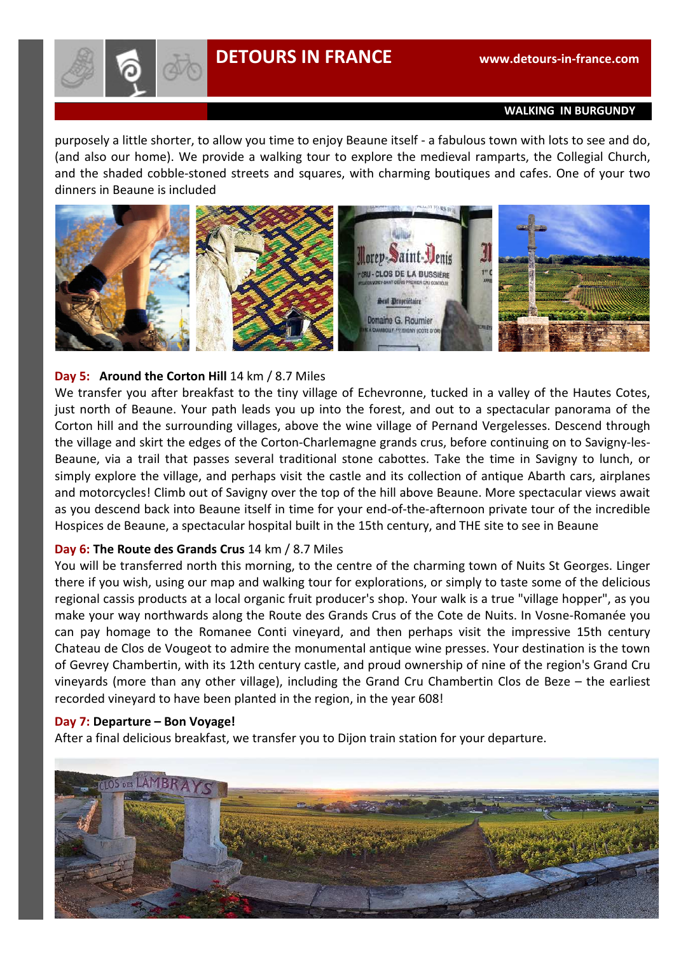

#### **WALKING IN BURGUNDY**

purposely a little shorter, to allow you time to enjoy Beaune itself - a fabulous town with lots to see and do, (and also our home). We provide a walking tour to explore the medieval ramparts, the Collegial Church, and the shaded cobble-stoned streets and squares, with charming boutiques and cafes. One of your two dinners in Beaune is included



## **Day 5: Around the Corton Hill** 14 km / 8.7 Miles

We transfer you after breakfast to the tiny village of Echevronne, tucked in a valley of the Hautes Cotes, just north of Beaune. Your path leads you up into the forest, and out to a spectacular panorama of the Corton hill and the surrounding villages, above the wine village of Pernand Vergelesses. Descend through the village and skirt the edges of the Corton-Charlemagne grands crus, before continuing on to Savigny-les-Beaune, via a trail that passes several traditional stone cabottes. Take the time in Savigny to lunch, or simply explore the village, and perhaps visit the castle and its collection of antique Abarth cars, airplanes and motorcycles! Climb out of Savigny over the top of the hill above Beaune. More spectacular views await as you descend back into Beaune itself in time for your end-of-the-afternoon private tour of the incredible Hospices de Beaune, a spectacular hospital built in the 15th century, and THE site to see in Beaune

#### **Day 6: The Route des Grands Crus** 14 km / 8.7 Miles

You will be transferred north this morning, to the centre of the charming town of Nuits St Georges. Linger there if you wish, using our map and walking tour for explorations, or simply to taste some of the delicious regional cassis products at a local organic fruit producer's shop. Your walk is a true "village hopper", as you make your way northwards along the Route des Grands Crus of the Cote de Nuits. In Vosne-Romanée you can pay homage to the Romanee Conti vineyard, and then perhaps visit the impressive 15th century Chateau de Clos de Vougeot to admire the monumental antique wine presses. Your destination is the town of Gevrey Chambertin, with its 12th century castle, and proud ownership of nine of the region's Grand Cru vineyards (more than any other village), including the Grand Cru Chambertin Clos de Beze – the earliest recorded vineyard to have been planted in the region, in the year 608!

#### **Day 7: Departure – Bon Voyage!**

After a final delicious breakfast, we transfer you to Dijon train station for your departure.